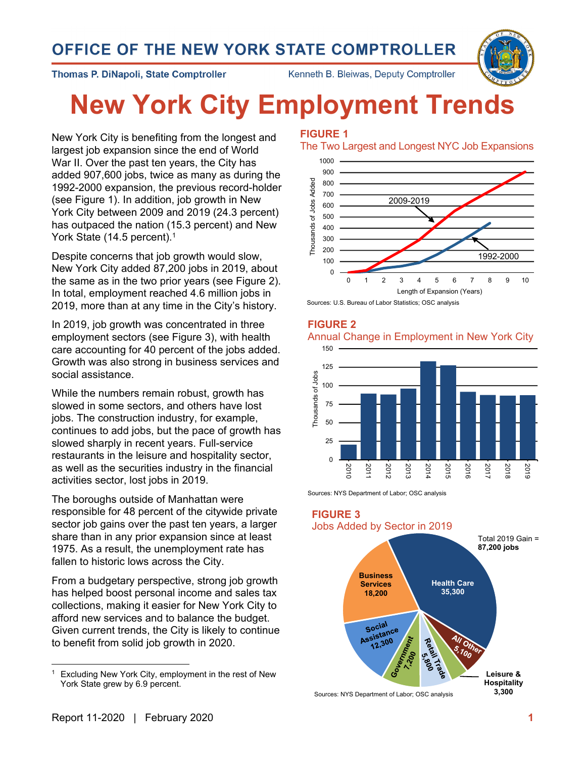## OFFICE OF THE NEW YORK STATE COMPTROLLER



**Thomas P. DiNapoli, State Comptroller** 

Kenneth B. Bleiwas, Deputy Comptroller

# **New York City Employment Trends**

New York City is benefiting from the longest and largest job expansion since the end of World War II. Over the past ten years, the City has added 907,600 jobs, twice as many as during the 1992-2000 expansion, the previous record-holder (see Figure 1). In addition, job growth in New York City between 2009 and 2019 (24.3 percent) has outpaced the nation (15.3 percent) and New York State (14.5 percent).<sup>1</sup>

Despite concerns that job growth would slow, New York City added 87,200 jobs in 2019, about the same as in the two prior years (see Figure 2). In total, employment reached 4.6 million jobs in 2019, more than at any time in the City's history.

In 2019, job growth was concentrated in three employment sectors (see Figure 3), with health care accounting for 40 percent of the jobs added. Growth was also strong in business services and social assistance.

While the numbers remain robust, growth has slowed in some sectors, and others have lost jobs. The construction industry, for example, continues to add jobs, but the pace of growth has slowed sharply in recent years. Full-service restaurants in the leisure and hospitality sector, as well as the securities industry in the financial activities sector, lost jobs in 2019.

The boroughs outside of Manhattan were responsible for 48 percent of the citywide private sector job gains over the past ten years, a larger share than in any prior expansion since at least 1975. As a result, the unemployment rate has fallen to historic lows across the City.

From a budgetary perspective, strong job growth has helped boost personal income and sales tax collections, making it easier for New York City to afford new services and to balance the budget. Given current trends, the City is likely to continue to benefit from solid job growth in 2020.

#### **FIGURE 1**

The Two Largest and Longest NYC Job Expansions



Sources: U.S. Bureau of Labor Statistics; OSC analysis







Sources: NYS Department of Labor; OSC analysis



<sup>&</sup>lt;sup>1</sup> Excluding New York City, employment in the rest of New York State grew by 6.9 percent.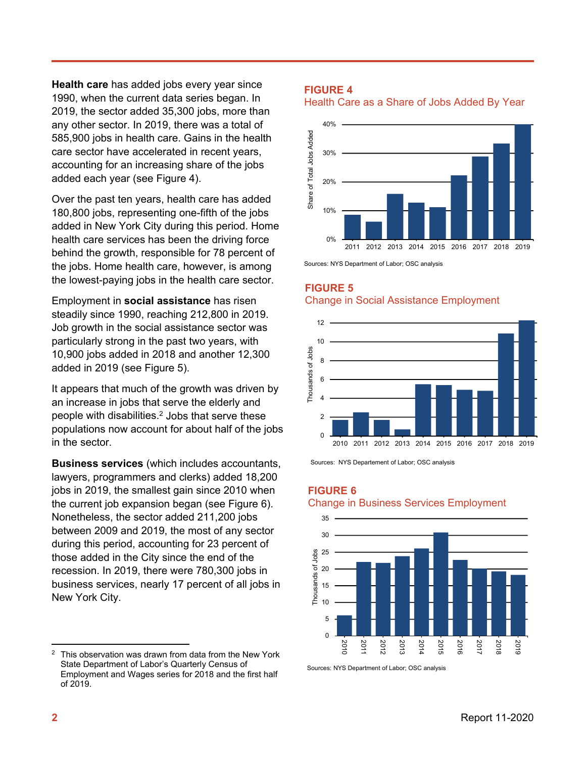**Health care** has added jobs every year since 1990, when the current data series began. In 2019, the sector added 35,300 jobs, more than any other sector. In 2019, there was a total of 585,900 jobs in health care. Gains in the health care sector have accelerated in recent years, accounting for an increasing share of the jobs added each year (see Figure 4).

Over the past ten years, health care has added 180,800 jobs, representing one-fifth of the jobs added in New York City during this period. Home health care services has been the driving force behind the growth, responsible for 78 percent of the jobs. Home health care, however, is among the lowest-paying jobs in the health care sector.

Employment in **social assistance** has risen steadily since 1990, reaching 212,800 in 2019. Job growth in the social assistance sector was particularly strong in the past two years, with 10,900 jobs added in 2018 and another 12,300 added in 2019 (see Figure 5).

It appears that much of the growth was driven by an increase in jobs that serve the elderly and people with disabilities.<sup>2</sup> Jobs that serve these populations now account for about half of the jobs in the sector.

**Business services** (which includes accountants, lawyers, programmers and clerks) added 18,200 jobs in 2019, the smallest gain since 2010 when the current job expansion began (see Figure 6). Nonetheless, the sector added 211,200 jobs between 2009 and 2019, the most of any sector during this period, accounting for 23 percent of those added in the City since the end of the recession. In 2019, there were 780,300 jobs in business services, nearly 17 percent of all jobs in New York City.

#### **FIGURE 4**

Health Care as a Share of Jobs Added By Year



Sources: NYS Department of Labor; OSC analysis

#### **FIGURE 5** Change in Social Assistance Employment



Sources: NYS Departement of Labor; OSC analysis

**FIGURE 6**

#### Change in Business Services Employment



Sources: NYS Department of Labor; OSC analysis

 $2$  This observation was drawn from data from the New York State Department of Labor's Quarterly Census of Employment and Wages series for 2018 and the first half of 2019.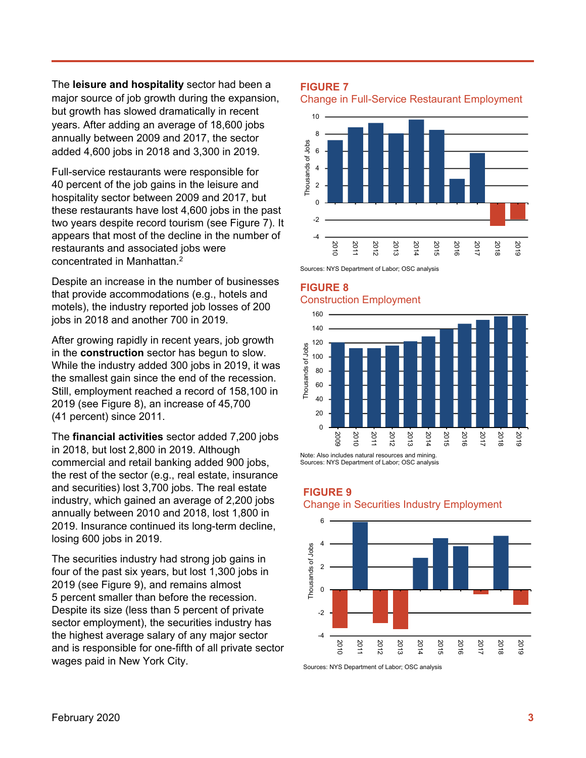The **leisure and hospitality** sector had been a major source of job growth during the expansion, but growth has slowed dramatically in recent years. After adding an average of 18,600 jobs annually between 2009 and 2017, the sector added 4,600 jobs in 2018 and 3,300 in 2019.

Full-service restaurants were responsible for 40 percent of the job gains in the leisure and hospitality sector between 2009 and 2017, but these restaurants have lost 4,600 jobs in the past two years despite record tourism (see Figure 7). It appears that most of the decline in the number of restaurants and associated jobs were concentrated in Manhattan.2

Despite an increase in the number of businesses that provide accommodations (e.g., hotels and motels), the industry reported job losses of 200 jobs in 2018 and another 700 in 2019.

After growing rapidly in recent years, job growth in the **construction** sector has begun to slow. While the industry added 300 jobs in 2019, it was the smallest gain since the end of the recession. Still, employment reached a record of 158,100 in 2019 (see Figure 8), an increase of 45,700 (41 percent) since 2011.

The **financial activities** sector added 7,200 jobs in 2018, but lost 2,800 in 2019. Although commercial and retail banking added 900 jobs, the rest of the sector (e.g., real estate, insurance and securities) lost 3,700 jobs. The real estate industry, which gained an average of 2,200 jobs annually between 2010 and 2018, lost 1,800 in 2019. Insurance continued its long-term decline, losing 600 jobs in 2019.

The securities industry had strong job gains in four of the past six years, but lost 1,300 jobs in 2019 (see Figure 9), and remains almost 5 percent smaller than before the recession. Despite its size (less than 5 percent of private sector employment), the securities industry has the highest average salary of any major sector and is responsible for one-fifth of all private sector wages paid in New York City.

#### **FIGURE 7**

Change in Full-Service Restaurant Employment



Sources: NYS Department of Labor; OSC analysis

#### **FIGURE 8** Construction Employment



Note: Also includes natural resources and mining. Sources: NYS Department of Labor; OSC analysis

**FIGURE 9**





Sources: NYS Department of Labor; OSC analysis